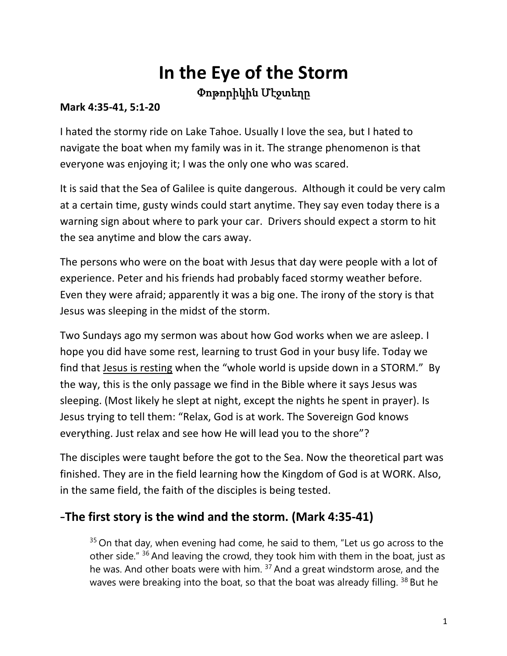# **In the Eye of the Storm** Փոթորիկին Մէջտեղը

#### **Mark 4:35-41, 5:1-20**

I hated the stormy ride on Lake Tahoe. Usually I love the sea, but I hated to navigate the boat when my family was in it. The strange phenomenon is that everyone was enjoying it; I was the only one who was scared.

It is said that the Sea of Galilee is quite dangerous. Although it could be very calm at a certain time, gusty winds could start anytime. They say even today there is a warning sign about where to park your car. Drivers should expect a storm to hit the sea anytime and blow the cars away.

The persons who were on the boat with Jesus that day were people with a lot of experience. Peter and his friends had probably faced stormy weather before. Even they were afraid; apparently it was a big one. The irony of the story is that Jesus was sleeping in the midst of the storm.

Two Sundays ago my sermon was about how God works when we are asleep. I hope you did have some rest, learning to trust God in your busy life. Today we find that Jesus is resting when the "whole world is upside down in a STORM." By the way, this is the only passage we find in the Bible where it says Jesus was sleeping. (Most likely he slept at night, except the nights he spent in prayer). Is Jesus trying to tell them: "Relax, God is at work. The Sovereign God knows everything. Just relax and see how He will lead you to the shore"?

The disciples were taught before the got to the Sea. Now the theoretical part was finished. They are in the field learning how the Kingdom of God is at WORK. Also, in the same field, the faith of the disciples is being tested.

### -**The first story is the wind and the storm. (Mark 4:35-41)**

 $35$  On that day, when evening had come, he said to them, "Let us go across to the other side." <sup>36</sup> And leaving the crowd, they took him with them in the boat, just as he was. And other boats were with him. <sup>37</sup> And a great windstorm arose, and the waves were breaking into the boat, so that the boat was already filling. <sup>38</sup> But he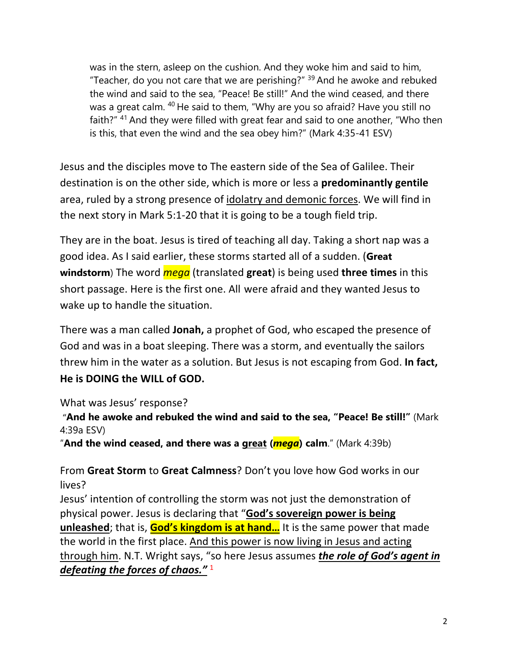was in the stern, asleep on the cushion. And they woke him and said to him, "Teacher, do you not care that we are perishing?"  $39$  And he awoke and rebuked the wind and said to the sea, "Peace! Be still!" And the wind ceased, and there was a great calm. <sup>40</sup> He said to them, "Why are you so afraid? Have you still no faith?" <sup>41</sup> And they were filled with great fear and said to one another, "Who then is this, that even the wind and the sea obey him?" (Mark 4:35-41 ESV)

Jesus and the disciples move to The eastern side of the Sea of Galilee. Their destination is on the other side, which is more or less a **predominantly gentile** area, ruled by a strong presence of idolatry and demonic forces. We will find in the next story in Mark 5:1-20 that it is going to be a tough field trip.

They are in the boat. Jesus is tired of teaching all day. Taking a short nap was a good idea. As I said earlier, these storms started all of a sudden. (**Great windstorm**) The word *mega* (translated **great**) is being used **three times** in this short passage. Here is the first one. All were afraid and they wanted Jesus to wake up to handle the situation.

There was a man called **Jonah,** a prophet of God, who escaped the presence of God and was in a boat sleeping. There was a storm, and eventually the sailors threw him in the water as a solution. But Jesus is not escaping from God. **In fact, He is DOING the WILL of GOD.** 

What was Jesus' response?

"**And he awoke and rebuked the wind and said to the sea, "Peace! Be still!"** (Mark 4:39a ESV)

"**And the wind ceased, and there was a great (***mega***) calm**." (Mark 4:39b)

From **Great Storm** to **Great Calmness**? Don't you love how God works in our lives?

Jesus' intention of controlling the storm was not just the demonstration of physical power. Jesus is declaring that "**God's sovereign power is being unleashed**; that is, **God's kingdom is at hand…** It is the same power that made the world in the first place. And this power is now living in Jesus and acting through him. N.T. Wright says, "so here Jesus assumes *the role of God's agent in defeating the forces of chaos."* 1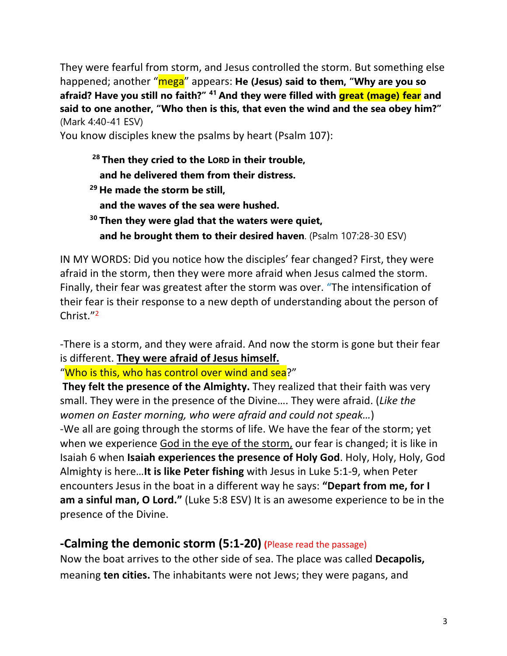They were fearful from storm, and Jesus controlled the storm. But something else happened; another "mega" appears: **He (Jesus) said to them, "Why are you so afraid? Have you still no faith?" <sup>41</sup> And they were filled with great (mage) fear and said to one another, "Who then is this, that even the wind and the sea obey him?"** (Mark 4:40-41 ESV)

You know disciples knew the psalms by heart (Psalm 107):

- **<sup>28</sup> Then they cried to the LORD in their trouble, and he delivered them from their distress. <sup>29</sup> He made the storm be still, and the waves of the sea were hushed. <sup>30</sup> Then they were glad that the waters were quiet,**
	- **and he brought them to their desired haven**. (Psalm 107:28-30 ESV)

IN MY WORDS: Did you notice how the disciples' fear changed? First, they were afraid in the storm, then they were more afraid when Jesus calmed the storm. Finally, their fear was greatest after the storm was over. "The intensification of their fear is their response to a new depth of understanding about the person of Christ."2

-There is a storm, and they were afraid. And now the storm is gone but their fear is different. **They were afraid of Jesus himself.**

"Who is this, who has control over wind and sea?"

**They felt the presence of the Almighty.** They realized that their faith was very small. They were in the presence of the Divine…. They were afraid. (*Like the women on Easter morning, who were afraid and could not speak…*) -We all are going through the storms of life. We have the fear of the storm; yet when we experience God in the eye of the storm, our fear is changed; it is like in Isaiah 6 when **Isaiah experiences the presence of Holy God**. Holy, Holy, Holy, God Almighty is here…**It is like Peter fishing** with Jesus in Luke 5:1-9, when Peter encounters Jesus in the boat in a different way he says: **"Depart from me, for I am a sinful man, O Lord."** (Luke 5:8 ESV) It is an awesome experience to be in the presence of the Divine.

#### **-Calming the demonic storm (5:1-20) (**Please read the passage)

Now the boat arrives to the other side of sea. The place was called **Decapolis,** meaning **ten cities.** The inhabitants were not Jews; they were pagans, and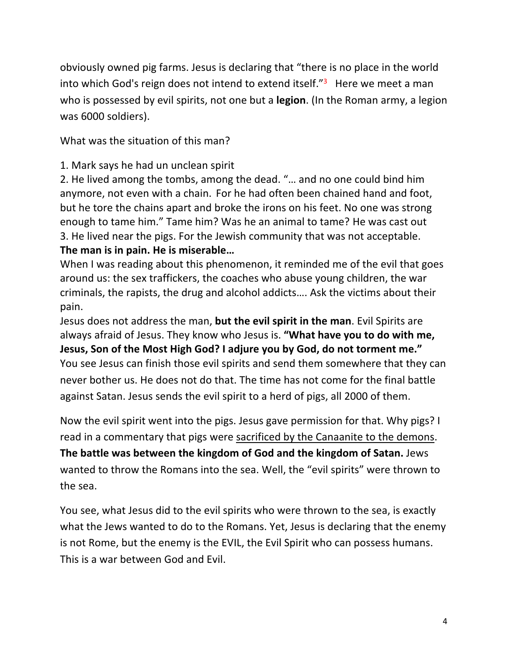obviously owned pig farms. Jesus is declaring that "there is no place in the world into which God's reign does not intend to extend itself. $3^3$  Here we meet a man who is possessed by evil spirits, not one but a **legion**. (In the Roman army, a legion was 6000 soldiers).

What was the situation of this man?

1. Mark says he had un unclean spirit

2. He lived among the tombs, among the dead. "… and no one could bind him anymore, not even with a chain. For he had often been chained hand and foot, but he tore the chains apart and broke the irons on his feet. No one was strong enough to tame him." Tame him? Was he an animal to tame? He was cast out 3. He lived near the pigs. For the Jewish community that was not acceptable. **The man is in pain. He is miserable…**

When I was reading about this phenomenon, it reminded me of the evil that goes around us: the sex traffickers, the coaches who abuse young children, the war criminals, the rapists, the drug and alcohol addicts…. Ask the victims about their pain.

Jesus does not address the man, **but the evil spirit in the man**. Evil Spirits are always afraid of Jesus. They know who Jesus is. **"What have you to do with me, Jesus, Son of the Most High God? I adjure you by God, do not torment me."** You see Jesus can finish those evil spirits and send them somewhere that they can never bother us. He does not do that. The time has not come for the final battle against Satan. Jesus sends the evil spirit to a herd of pigs, all 2000 of them.

Now the evil spirit went into the pigs. Jesus gave permission for that. Why pigs? I read in a commentary that pigs were sacrificed by the Canaanite to the demons. **The battle was between the kingdom of God and the kingdom of Satan.** Jews wanted to throw the Romans into the sea. Well, the "evil spirits" were thrown to the sea.

You see, what Jesus did to the evil spirits who were thrown to the sea, is exactly what the Jews wanted to do to the Romans. Yet, Jesus is declaring that the enemy is not Rome, but the enemy is the EVIL, the Evil Spirit who can possess humans. This is a war between God and Evil.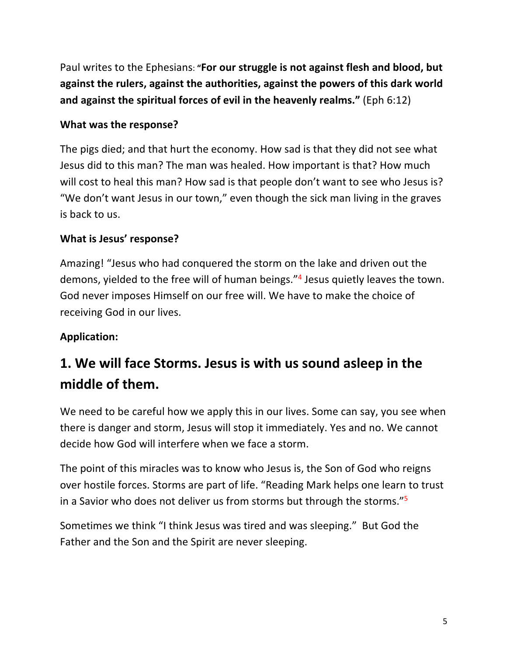Paul writes to the Ephesians: **"For our struggle is not against flesh and blood, but against the rulers, against the authorities, against the powers of this dark world and against the spiritual forces of evil in the heavenly realms."** (Eph 6:12)

#### **What was the response?**

The pigs died; and that hurt the economy. How sad is that they did not see what Jesus did to this man? The man was healed. How important is that? How much will cost to heal this man? How sad is that people don't want to see who Jesus is? "We don't want Jesus in our town," even though the sick man living in the graves is back to us.

#### **What is Jesus' response?**

Amazing! "Jesus who had conquered the storm on the lake and driven out the demons, yielded to the free will of human beings."4 Jesus quietly leaves the town. God never imposes Himself on our free will. We have to make the choice of receiving God in our lives.

#### **Application:**

## **1. We will face Storms. Jesus is with us sound asleep in the middle of them.**

We need to be careful how we apply this in our lives. Some can say, you see when there is danger and storm, Jesus will stop it immediately. Yes and no. We cannot decide how God will interfere when we face a storm.

The point of this miracles was to know who Jesus is, the Son of God who reigns over hostile forces. Storms are part of life. "Reading Mark helps one learn to trust in a Savior who does not deliver us from storms but through the storms."5

Sometimes we think "I think Jesus was tired and was sleeping." But God the Father and the Son and the Spirit are never sleeping.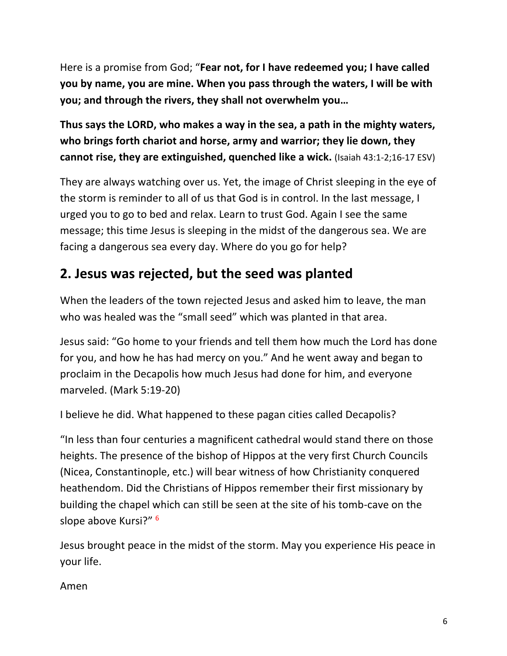Here is a promise from God; "**Fear not, for I have redeemed you; I have called you by name, you are mine. When you pass through the waters, I will be with you; and through the rivers, they shall not overwhelm you…**

**Thus says the LORD, who makes a way in the sea, a path in the mighty waters, who brings forth chariot and horse, army and warrior; they lie down, they cannot rise, they are extinguished, quenched like a wick.** (Isaiah 43:1-2;16-17 ESV)

They are always watching over us. Yet, the image of Christ sleeping in the eye of the storm is reminder to all of us that God is in control. In the last message, I urged you to go to bed and relax. Learn to trust God. Again I see the same message; this time Jesus is sleeping in the midst of the dangerous sea. We are facing a dangerous sea every day. Where do you go for help?

### **2. Jesus was rejected, but the seed was planted**

When the leaders of the town rejected Jesus and asked him to leave, the man who was healed was the "small seed" which was planted in that area.

Jesus said: "Go home to your friends and tell them how much the Lord has done for you, and how he has had mercy on you." And he went away and began to proclaim in the Decapolis how much Jesus had done for him, and everyone marveled. (Mark 5:19-20)

I believe he did. What happened to these pagan cities called Decapolis?

"In less than four centuries a magnificent cathedral would stand there on those heights. The presence of the bishop of Hippos at the very first Church Councils (Nicea, Constantinople, etc.) will bear witness of how Christianity conquered heathendom. Did the Christians of Hippos remember their first missionary by building the chapel which can still be seen at the site of his tomb-cave on the slope above Kursi?" 6

Jesus brought peace in the midst of the storm. May you experience His peace in your life.

Amen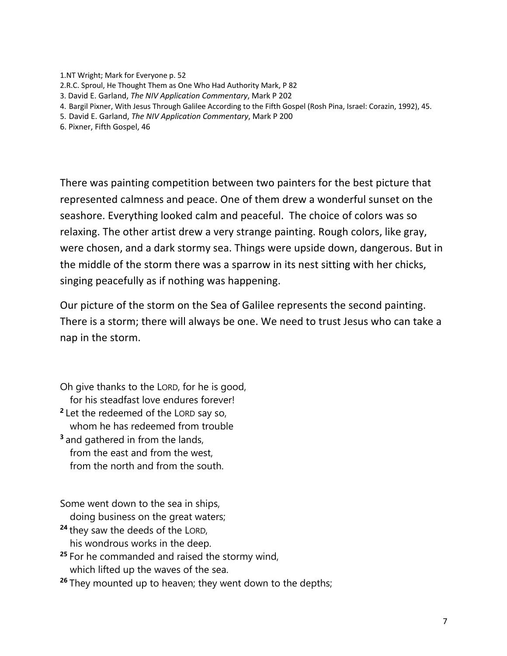- 1.NT Wright; Mark for Everyone p. 52 2.R.C. Sproul, He Thought Them as One Who Had Authority Mark, P 82 3. David E. Garland, *The NIV Application Commentary*, Mark P 202 4. Bargil Pixner, With Jesus Through Galilee According to the Fifth Gospel (Rosh Pina, Israel: Corazin, 1992), 45.
- 5. David E. Garland, *The NIV Application Commentary*, Mark P 200
- 6. Pixner, Fifth Gospel, 46

There was painting competition between two painters for the best picture that represented calmness and peace. One of them drew a wonderful sunset on the seashore. Everything looked calm and peaceful. The choice of colors was so relaxing. The other artist drew a very strange painting. Rough colors, like gray, were chosen, and a dark stormy sea. Things were upside down, dangerous. But in the middle of the storm there was a sparrow in its nest sitting with her chicks, singing peacefully as if nothing was happening.

Our picture of the storm on the Sea of Galilee represents the second painting. There is a storm; there will always be one. We need to trust Jesus who can take a nap in the storm.

Oh give thanks to the LORD, for he is good, for his steadfast love endures forever! **<sup>2</sup>** Let the redeemed of the LORD say so, whom he has redeemed from trouble **<sup>3</sup>** and gathered in from the lands,

 from the east and from the west, from the north and from the south.

Some went down to the sea in ships,

doing business on the great waters;

- **<sup>24</sup>** they saw the deeds of the LORD, his wondrous works in the deep.
- **<sup>25</sup>** For he commanded and raised the stormy wind, which lifted up the waves of the sea.

**<sup>26</sup>** They mounted up to heaven; they went down to the depths;